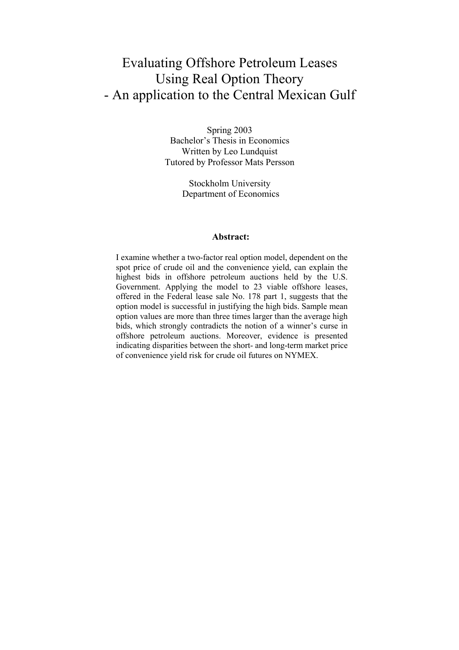# Evaluating Offshore Petroleum Leases Using Real Option Theory - An application to the Central Mexican Gulf

Spring 2003 Bachelor's Thesis in Economics Written by Leo Lundquist Tutored by Professor Mats Persson

> Stockholm University Department of Economics

#### **Abstract:**

I examine whether a two-factor real option model, dependent on the spot price of crude oil and the convenience yield, can explain the highest bids in offshore petroleum auctions held by the U.S. Government. Applying the model to 23 viable offshore leases, offered in the Federal lease sale No. 178 part 1, suggests that the option model is successful in justifying the high bids. Sample mean option values are more than three times larger than the average high bids, which strongly contradicts the notion of a winner's curse in offshore petroleum auctions. Moreover, evidence is presented indicating disparities between the short- and long-term market price of convenience yield risk for crude oil futures on NYMEX.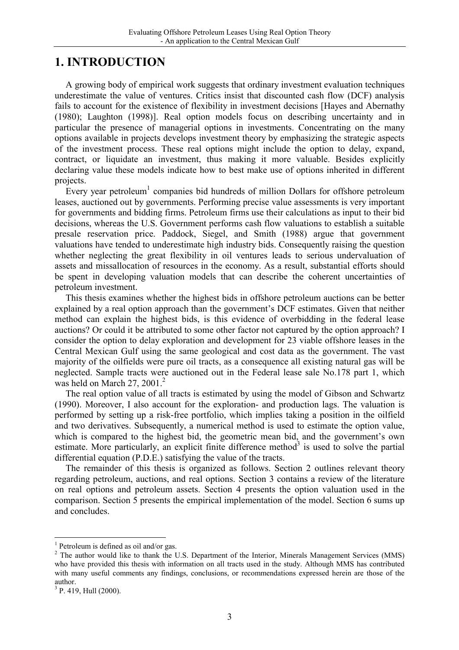## **1. INTRODUCTION**

A growing body of empirical work suggests that ordinary investment evaluation techniques underestimate the value of ventures. Critics insist that discounted cash flow (DCF) analysis fails to account for the existence of flexibility in investment decisions [Hayes and Abernathy (1980); Laughton (1998)]. Real option models focus on describing uncertainty and in particular the presence of managerial options in investments. Concentrating on the many options available in projects develops investment theory by emphasizing the strategic aspects of the investment process. These real options might include the option to delay, expand, contract, or liquidate an investment, thus making it more valuable. Besides explicitly declaring value these models indicate how to best make use of options inherited in different projects.

Every year petroleum<sup>1</sup> companies bid hundreds of million Dollars for offshore petroleum leases, auctioned out by governments. Performing precise value assessments is very important for governments and bidding firms. Petroleum firms use their calculations as input to their bid decisions, whereas the U.S. Government performs cash flow valuations to establish a suitable presale reservation price. Paddock, Siegel, and Smith (1988) argue that government valuations have tended to underestimate high industry bids. Consequently raising the question whether neglecting the great flexibility in oil ventures leads to serious undervaluation of assets and missallocation of resources in the economy. As a result, substantial efforts should be spent in developing valuation models that can describe the coherent uncertainties of petroleum investment.

This thesis examines whether the highest bids in offshore petroleum auctions can be better explained by a real option approach than the government's DCF estimates. Given that neither method can explain the highest bids, is this evidence of overbidding in the federal lease auctions? Or could it be attributed to some other factor not captured by the option approach? I consider the option to delay exploration and development for 23 viable offshore leases in the Central Mexican Gulf using the same geological and cost data as the government. The vast majority of the oilfields were pure oil tracts, as a consequence all existing natural gas will be neglected. Sample tracts were auctioned out in the Federal lease sale No.178 part 1, which was held on March 27, 2001. $^2$ 

The real option value of all tracts is estimated by using the model of Gibson and Schwartz (1990). Moreover, I also account for the exploration- and production lags. The valuation is performed by setting up a risk-free portfolio, which implies taking a position in the oilfield and two derivatives. Subsequently, a numerical method is used to estimate the option value, which is compared to the highest bid, the geometric mean bid, and the government's own estimate. More particularly, an explicit finite difference method<sup>3</sup> is used to solve the partial differential equation (P.D.E.) satisfying the value of the tracts.

The remainder of this thesis is organized as follows. Section 2 outlines relevant theory regarding petroleum, auctions, and real options. Section 3 contains a review of the literature on real options and petroleum assets. Section 4 presents the option valuation used in the comparison. Section 5 presents the empirical implementation of the model. Section 6 sums up and concludes.

<sup>&</sup>lt;sup>1</sup> Petroleum is defined as oil and/or gas.

 $2$  The author would like to thank the U.S. Department of the Interior, Minerals Management Services (MMS) who have provided this thesis with information on all tracts used in the study. Although MMS has contributed with many useful comments any findings, conclusions, or recommendations expressed herein are those of the author.

<sup>&</sup>lt;sup>3</sup> P. 419, Hull (2000).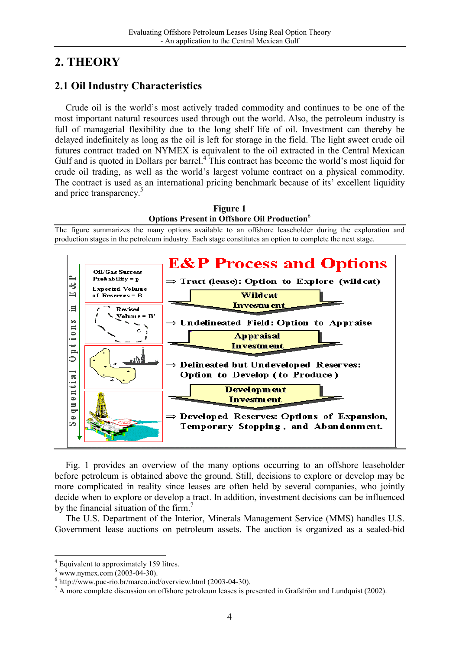# **2. THEORY**

## **2.1 Oil Industry Characteristics**

Crude oil is the world's most actively traded commodity and continues to be one of the most important natural resources used through out the world. Also, the petroleum industry is full of managerial flexibility due to the long shelf life of oil. Investment can thereby be delayed indefinitely as long as the oil is left for storage in the field. The light sweet crude oil futures contract traded on NYMEX is equivalent to the oil extracted in the Central Mexican Gulf and is quoted in Dollars per barrel. $4$  This contract has become the world's most liquid for crude oil trading, as well as the world's largest volume contract on a physical commodity. The contract is used as an international pricing benchmark because of its' excellent liquidity and price transparency.<sup>5</sup>



Fig. 1 provides an overview of the many options occurring to an offshore leaseholder before petroleum is obtained above the ground. Still, decisions to explore or develop may be more complicated in reality since leases are often held by several companies, who jointly decide when to explore or develop a tract. In addition, investment decisions can be influenced by the financial situation of the firm.<sup>7</sup>

**Investment** 

 $\Rightarrow$  Developed Reserves: Options of Expansion,

Temporary Stopping, and Abandonment.

The U.S. Department of the Interior, Minerals Management Service (MMS) handles U.S. Government lease auctions on petroleum assets. The auction is organized as a sealed-bid

ē

 $\bullet$ Ø

<sup>&</sup>lt;sup>4</sup> Equivalent to approximately 159 litres.

 $^5$  www.nymex.com (2003-04-30).

 $6$  http://www.puc-rio.br/marco.ind/overview.html (2003-04-30).

 $^7$  A more complete discussion on offshore petroleum leases is presented in Grafström and Lundquist (2002).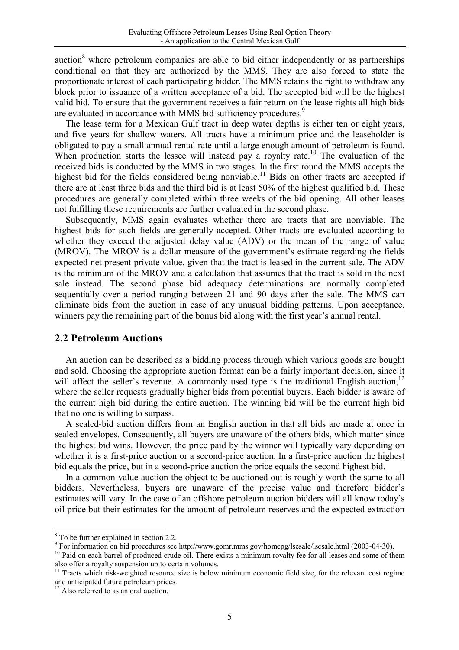auction $8$  where petroleum companies are able to bid either independently or as partnerships conditional on that they are authorized by the MMS. They are also forced to state the proportionate interest of each participating bidder. The MMS retains the right to withdraw any block prior to issuance of a written acceptance of a bid. The accepted bid will be the highest valid bid. To ensure that the government receives a fair return on the lease rights all high bids are evaluated in accordance with MMS bid sufficiency procedures.<sup>9</sup>

The lease term for a Mexican Gulf tract in deep water depths is either ten or eight years, and five years for shallow waters. All tracts have a minimum price and the leaseholder is obligated to pay a small annual rental rate until a large enough amount of petroleum is found. When production starts the lessee will instead pay a royalty rate.<sup>10</sup> The evaluation of the received bids is conducted by the MMS in two stages. In the first round the MMS accepts the highest bid for the fields considered being nonviable.<sup>11</sup> Bids on other tracts are accepted if there are at least three bids and the third bid is at least 50% of the highest qualified bid. These procedures are generally completed within three weeks of the bid opening. All other leases not fulfilling these requirements are further evaluated in the second phase.

Subsequently, MMS again evaluates whether there are tracts that are nonviable. The highest bids for such fields are generally accepted. Other tracts are evaluated according to whether they exceed the adjusted delay value (ADV) or the mean of the range of value (MROV). The MROV is a dollar measure of the government's estimate regarding the fields expected net present private value, given that the tract is leased in the current sale. The ADV is the minimum of the MROV and a calculation that assumes that the tract is sold in the next sale instead. The second phase bid adequacy determinations are normally completed sequentially over a period ranging between 21 and 90 days after the sale. The MMS can eliminate bids from the auction in case of any unusual bidding patterns. Upon acceptance, winners pay the remaining part of the bonus bid along with the first year's annual rental.

#### **2.2 Petroleum Auctions**

An auction can be described as a bidding process through which various goods are bought and sold. Choosing the appropriate auction format can be a fairly important decision, since it will affect the seller's revenue. A commonly used type is the traditional English auction,  $12$ where the seller requests gradually higher bids from potential buyers. Each bidder is aware of the current high bid during the entire auction. The winning bid will be the current high bid that no one is willing to surpass.

A sealed-bid auction differs from an English auction in that all bids are made at once in sealed envelopes. Consequently, all buyers are unaware of the others bids, which matter since the highest bid wins. However, the price paid by the winner will typically vary depending on whether it is a first-price auction or a second-price auction. In a first-price auction the highest bid equals the price, but in a second-price auction the price equals the second highest bid.

In a common-value auction the object to be auctioned out is roughly worth the same to all bidders. Nevertheless, buyers are unaware of the precise value and therefore bidder's estimates will vary. In the case of an offshore petroleum auction bidders will all know today's oil price but their estimates for the amount of petroleum reserves and the expected extraction

<sup>8</sup> To be further explained in section 2.2.

<sup>&</sup>lt;sup>9</sup> For information on bid procedures see http://www.gomr.mms.gov/homepg/lsesale/lsesale.html (2003-04-30).

<sup>&</sup>lt;sup>10</sup> Paid on each barrel of produced crude oil. There exists a minimum royalty fee for all leases and some of them also offer a royalty suspension up to certain volumes.

 $11$  Tracts which risk-weighted resource size is below minimum economic field size, for the relevant cost regime and anticipated future petroleum prices.

 $12$  Also referred to as an oral auction.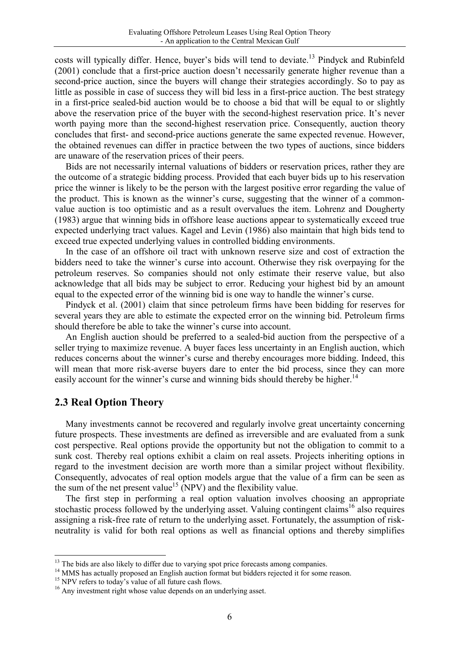costs will typically differ. Hence, buyer's bids will tend to deviate.<sup>13</sup> Pindyck and Rubinfeld (2001) conclude that a first-price auction doesn't necessarily generate higher revenue than a second-price auction, since the buyers will change their strategies accordingly. So to pay as little as possible in case of success they will bid less in a first-price auction. The best strategy in a first-price sealed-bid auction would be to choose a bid that will be equal to or slightly above the reservation price of the buyer with the second-highest reservation price. It's never worth paying more than the second-highest reservation price. Consequently, auction theory concludes that first- and second-price auctions generate the same expected revenue. However, the obtained revenues can differ in practice between the two types of auctions, since bidders are unaware of the reservation prices of their peers.

Bids are not necessarily internal valuations of bidders or reservation prices, rather they are the outcome of a strategic bidding process. Provided that each buyer bids up to his reservation price the winner is likely to be the person with the largest positive error regarding the value of the product. This is known as the winner's curse, suggesting that the winner of a commonvalue auction is too optimistic and as a result overvalues the item. Lohrenz and Dougherty (1983) argue that winning bids in offshore lease auctions appear to systematically exceed true expected underlying tract values. Kagel and Levin (1986) also maintain that high bids tend to exceed true expected underlying values in controlled bidding environments.

In the case of an offshore oil tract with unknown reserve size and cost of extraction the bidders need to take the winner's curse into account. Otherwise they risk overpaying for the petroleum reserves. So companies should not only estimate their reserve value, but also acknowledge that all bids may be subject to error. Reducing your highest bid by an amount equal to the expected error of the winning bid is one way to handle the winner's curse.

Pindyck et al. (2001) claim that since petroleum firms have been bidding for reserves for several years they are able to estimate the expected error on the winning bid. Petroleum firms should therefore be able to take the winner's curse into account.

An English auction should be preferred to a sealed-bid auction from the perspective of a seller trying to maximize revenue. A buyer faces less uncertainty in an English auction, which reduces concerns about the winner's curse and thereby encourages more bidding. Indeed, this will mean that more risk-averse buyers dare to enter the bid process, since they can more easily account for the winner's curse and winning bids should thereby be higher.<sup>14</sup>

### **2.3 Real Option Theory**

Many investments cannot be recovered and regularly involve great uncertainty concerning future prospects. These investments are defined as irreversible and are evaluated from a sunk cost perspective. Real options provide the opportunity but not the obligation to commit to a sunk cost. Thereby real options exhibit a claim on real assets. Projects inheriting options in regard to the investment decision are worth more than a similar project without flexibility. Consequently, advocates of real option models argue that the value of a firm can be seen as the sum of the net present value<sup>15</sup> (NPV) and the flexibility value.

The first step in performing a real option valuation involves choosing an appropriate stochastic process followed by the underlying asset. Valuing contingent claims<sup>16</sup> also requires assigning a risk-free rate of return to the underlying asset. Fortunately, the assumption of riskneutrality is valid for both real options as well as financial options and thereby simplifies

<sup>&</sup>lt;sup>13</sup> The bids are also likely to differ due to varying spot price forecasts among companies.

<sup>&</sup>lt;sup>14</sup> MMS has actually proposed an English auction format but bidders rejected it for some reason.

<sup>&</sup>lt;sup>15</sup> NPV refers to today's value of all future cash flows.

<sup>&</sup>lt;sup>16</sup> Any investment right whose value depends on an underlying asset.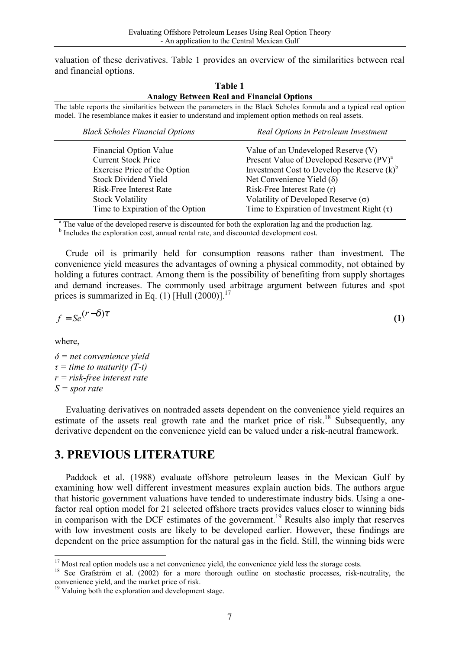valuation of these derivatives. Table 1 provides an overview of the similarities between real and financial options.

**Table 1** 

|                                                                                                   | <b>Analogy Between Real and Financial Options</b>                                                                |
|---------------------------------------------------------------------------------------------------|------------------------------------------------------------------------------------------------------------------|
| model. The resemblance makes it easier to understand and implement option methods on real assets. | The table reports the similarities between the parameters in the Black Scholes formula and a typical real option |
| <b>Black Scholes Financial Options</b>                                                            | Real Options in Petroleum Investment                                                                             |
| <b>Financial Option Value</b>                                                                     | Value of an Undeveloped Reserve (V)                                                                              |
| <b>Current Stock Price</b>                                                                        | Present Value of Developed Reserve (PV) <sup>a</sup>                                                             |
| Exercise Price of the Option                                                                      | Investment Cost to Develop the Reserve $(k)^b$                                                                   |
| <b>Stock Dividend Yield</b>                                                                       | Net Convenience Yield $(\delta)$                                                                                 |
| Risk-Free Interest Rate                                                                           | Risk-Free Interest Rate (r)                                                                                      |
| <b>Stock Volatility</b>                                                                           | Volatility of Developed Reserve $(\sigma)$                                                                       |

Time to Expiration of the Option Time to Expiration of Investment Right  $(\tau)$ 

<sup>a</sup> The value of the developed reserve is discounted for both the exploration lag and the production lag.

<sup>b</sup> Includes the exploration cost, annual rental rate, and discounted development cost.

Crude oil is primarily held for consumption reasons rather than investment. The convenience yield measures the advantages of owning a physical commodity, not obtained by holding a futures contract. Among them is the possibility of benefiting from supply shortages and demand increases. The commonly used arbitrage argument between futures and spot prices is summarized in Eq.  $(1)$  [Hull  $(2000)$ ].<sup>17</sup>

$$
f = Se^{(r-\delta)\tau}
$$
 (1)

where,

*δ = net convenience yield τ = time to maturity (T-t) r = risk-free interest rate S = spot rate* 

Evaluating derivatives on nontraded assets dependent on the convenience yield requires an estimate of the assets real growth rate and the market price of risk.<sup>18</sup> Subsequently, any derivative dependent on the convenience yield can be valued under a risk-neutral framework.

## **3. PREVIOUS LITERATURE**

Paddock et al. (1988) evaluate offshore petroleum leases in the Mexican Gulf by examining how well different investment measures explain auction bids. The authors argue that historic government valuations have tended to underestimate industry bids. Using a onefactor real option model for 21 selected offshore tracts provides values closer to winning bids in comparison with the DCF estimates of the government.<sup>19</sup> Results also imply that reserves with low investment costs are likely to be developed earlier. However, these findings are dependent on the price assumption for the natural gas in the field. Still, the winning bids were

  $17$  Most real option models use a net convenience yield, the convenience yield less the storage costs.

<sup>&</sup>lt;sup>18</sup> See Grafström et al. (2002) for a more thorough outline on stochastic processes, risk-neutrality, the convenience yield, and the market price of risk.

<sup>&</sup>lt;sup>19</sup> Valuing both the exploration and development stage.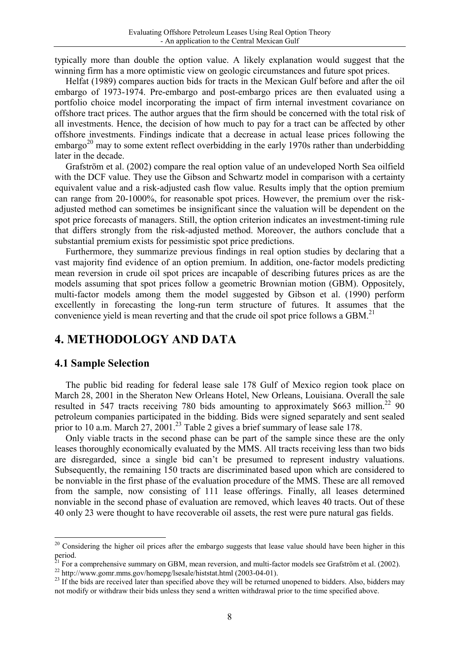typically more than double the option value. A likely explanation would suggest that the winning firm has a more optimistic view on geologic circumstances and future spot prices.

Helfat (1989) compares auction bids for tracts in the Mexican Gulf before and after the oil embargo of 1973-1974. Pre-embargo and post-embargo prices are then evaluated using a portfolio choice model incorporating the impact of firm internal investment covariance on offshore tract prices. The author argues that the firm should be concerned with the total risk of all investments. Hence, the decision of how much to pay for a tract can be affected by other offshore investments. Findings indicate that a decrease in actual lease prices following the embargo<sup>20</sup> may to some extent reflect overbidding in the early 1970s rather than underbidding later in the decade.

Grafström et al. (2002) compare the real option value of an undeveloped North Sea oilfield with the DCF value. They use the Gibson and Schwartz model in comparison with a certainty equivalent value and a risk-adjusted cash flow value. Results imply that the option premium can range from 20-1000%, for reasonable spot prices. However, the premium over the riskadjusted method can sometimes be insignificant since the valuation will be dependent on the spot price forecasts of managers. Still, the option criterion indicates an investment-timing rule that differs strongly from the risk-adjusted method. Moreover, the authors conclude that a substantial premium exists for pessimistic spot price predictions.

Furthermore, they summarize previous findings in real option studies by declaring that a vast majority find evidence of an option premium. In addition, one-factor models predicting mean reversion in crude oil spot prices are incapable of describing futures prices as are the models assuming that spot prices follow a geometric Brownian motion (GBM). Oppositely, multi-factor models among them the model suggested by Gibson et al. (1990) perform excellently in forecasting the long-run term structure of futures. It assumes that the convenience yield is mean reverting and that the crude oil spot price follows a GBM.<sup>21</sup>

## **4. METHODOLOGY AND DATA**

### **4.1 Sample Selection**

The public bid reading for federal lease sale 178 Gulf of Mexico region took place on March 28, 2001 in the Sheraton New Orleans Hotel, New Orleans, Louisiana. Overall the sale resulted in 547 tracts receiving 780 bids amounting to approximately \$663 million.<sup>22</sup> 90 petroleum companies participated in the bidding. Bids were signed separately and sent sealed prior to 10 a.m. March 27, 2001.<sup>23</sup> Table 2 gives a brief summary of lease sale 178.

Only viable tracts in the second phase can be part of the sample since these are the only leases thoroughly economically evaluated by the MMS. All tracts receiving less than two bids are disregarded, since a single bid can't be presumed to represent industry valuations. Subsequently, the remaining 150 tracts are discriminated based upon which are considered to be nonviable in the first phase of the evaluation procedure of the MMS. These are all removed from the sample, now consisting of 111 lease offerings. Finally, all leases determined nonviable in the second phase of evaluation are removed, which leaves 40 tracts. Out of these 40 only 23 were thought to have recoverable oil assets, the rest were pure natural gas fields.

 $20$  Considering the higher oil prices after the embargo suggests that lease value should have been higher in this  $period.$ 

 $21$  For a comprehensive summary on GBM, mean reversion, and multi-factor models see Grafström et al. (2002).<br><sup>22</sup> http://www.gomr.mms.gov/homepg/lsesale/histstat.html (2003-04-01).

<sup>&</sup>lt;sup>23</sup> If the bids are received later than specified above they will be returned unopened to bidders. Also, bidders may not modify or withdraw their bids unless they send a written withdrawal prior to the time specified above.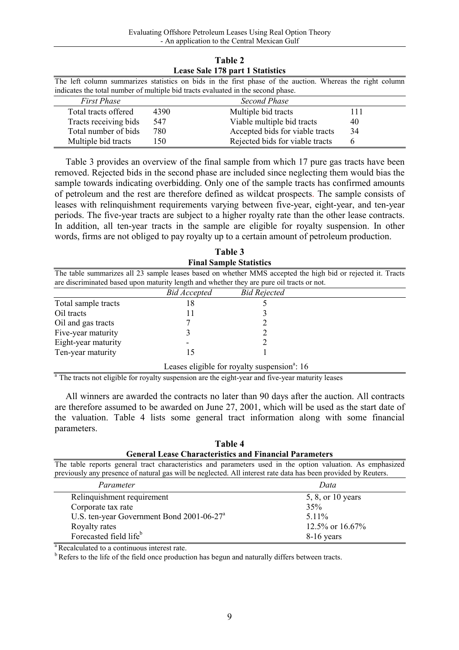| Lease Sale 178 part 1 Statistics |                                                                                  |                                                                                                           |     |  |  |  |  |
|----------------------------------|----------------------------------------------------------------------------------|-----------------------------------------------------------------------------------------------------------|-----|--|--|--|--|
|                                  |                                                                                  | The left column summarizes statistics on bids in the first phase of the auction. Whereas the right column |     |  |  |  |  |
|                                  | indicates the total number of multiple bid tracts evaluated in the second phase. |                                                                                                           |     |  |  |  |  |
| <b>First Phase</b>               |                                                                                  | Second Phase                                                                                              |     |  |  |  |  |
| Total tracts offered             | 4390                                                                             | Multiple bid tracts                                                                                       | 111 |  |  |  |  |
| Tracts receiving bids            | 547                                                                              | Viable multiple bid tracts                                                                                | 40  |  |  |  |  |
| Total number of bids             | 780                                                                              | Accepted bids for viable tracts                                                                           | 34  |  |  |  |  |
| Multiple bid tracts              | 150                                                                              | Rejected bids for viable tracts                                                                           | 6   |  |  |  |  |

**Table 2** 

Table 3 provides an overview of the final sample from which 17 pure gas tracts have been removed. Rejected bids in the second phase are included since neglecting them would bias the sample towards indicating overbidding. Only one of the sample tracts has confirmed amounts of petroleum and the rest are therefore defined as wildcat prospects. The sample consists of leases with relinquishment requirements varying between five-year, eight-year, and ten-year periods. The five-year tracts are subject to a higher royalty rate than the other lease contracts. In addition, all ten-year tracts in the sample are eligible for royalty suspension. In other words, firms are not obliged to pay royalty up to a certain amount of petroleum production.

**Table 3** 

|                                                                                           |              | і аіль Э                                                 |                                                                                                             |
|-------------------------------------------------------------------------------------------|--------------|----------------------------------------------------------|-------------------------------------------------------------------------------------------------------------|
|                                                                                           |              | <b>Final Sample Statistics</b>                           |                                                                                                             |
|                                                                                           |              |                                                          | The table summarizes all 23 sample leases based on whether MMS accepted the high bid or rejected it. Tracts |
| are discriminated based upon maturity length and whether they are pure oil tracts or not. |              |                                                          |                                                                                                             |
|                                                                                           | Bid Accepted | <b>Bid Rejected</b>                                      |                                                                                                             |
| Total sample tracts                                                                       | 18           |                                                          |                                                                                                             |
| Oil tracts                                                                                |              |                                                          |                                                                                                             |
| Oil and gas tracts                                                                        |              |                                                          |                                                                                                             |
| Five-year maturity                                                                        |              |                                                          |                                                                                                             |
| Eight-year maturity                                                                       |              |                                                          |                                                                                                             |
| Ten-year maturity                                                                         | 15           |                                                          |                                                                                                             |
|                                                                                           |              | Leases eligible for royalty suspension <sup>a</sup> : 16 |                                                                                                             |

<sup>a</sup> The tracts not eligible for royalty suspension are the eight-year and five-year maturity leases

All winners are awarded the contracts no later than 90 days after the auction. All contracts are therefore assumed to be awarded on June 27, 2001, which will be used as the start date of the valuation. Table 4 lists some general tract information along with some financial parameters.

| Table 4                                                       |
|---------------------------------------------------------------|
| <b>General Lease Characteristics and Financial Parameters</b> |

The table reports general tract characteristics and parameters used in the option valuation. As emphasized previously any presence of natural gas will be neglected. All interest rate data has been provided by Reuters.

| Parameter                                    | Data              |
|----------------------------------------------|-------------------|
| Relinquishment requirement                   | 5, 8, or 10 years |
| Corporate tax rate                           | 35%               |
| U.S. ten-year Government Bond $2001-06-27^a$ | $511\%$           |
| Royalty rates                                | 12.5% or $16.67%$ |
| Forecasted field life <sup>b</sup>           | 8-16 years        |

<sup>a</sup> Recalculated to a continuous interest rate.

<sup>b</sup> Refers to the life of the field once production has begun and naturally differs between tracts.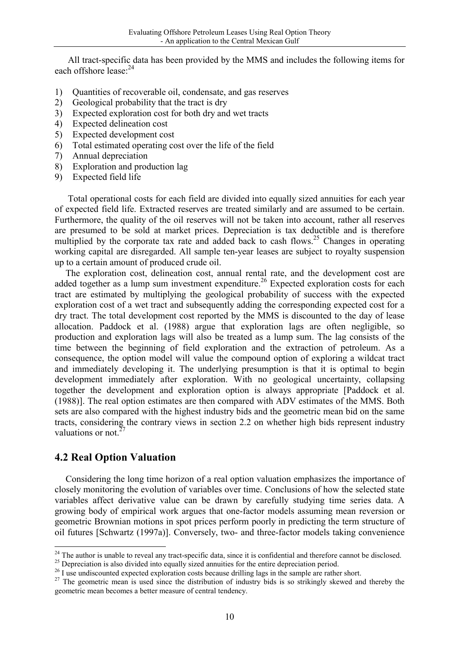All tract-specific data has been provided by the MMS and includes the following items for each offshore lease<sup>24</sup>

- 1) Quantities of recoverable oil, condensate, and gas reserves
- 2) Geological probability that the tract is dry
- 3) Expected exploration cost for both dry and wet tracts
- 4) Expected delineation cost
- 5) Expected development cost
- 6) Total estimated operating cost over the life of the field
- 7) Annual depreciation
- 8) Exploration and production lag
- 9) Expected field life

Total operational costs for each field are divided into equally sized annuities for each year of expected field life. Extracted reserves are treated similarly and are assumed to be certain. Furthermore, the quality of the oil reserves will not be taken into account, rather all reserves are presumed to be sold at market prices. Depreciation is tax deductible and is therefore multiplied by the corporate tax rate and added back to cash flows.<sup>25</sup> Changes in operating working capital are disregarded. All sample ten-year leases are subject to royalty suspension up to a certain amount of produced crude oil.

The exploration cost, delineation cost, annual rental rate, and the development cost are added together as a lump sum investment expenditure.<sup>26</sup> Expected exploration costs for each tract are estimated by multiplying the geological probability of success with the expected exploration cost of a wet tract and subsequently adding the corresponding expected cost for a dry tract. The total development cost reported by the MMS is discounted to the day of lease allocation. Paddock et al. (1988) argue that exploration lags are often negligible, so production and exploration lags will also be treated as a lump sum. The lag consists of the time between the beginning of field exploration and the extraction of petroleum. As a consequence, the option model will value the compound option of exploring a wildcat tract and immediately developing it. The underlying presumption is that it is optimal to begin development immediately after exploration. With no geological uncertainty, collapsing together the development and exploration option is always appropriate [Paddock et al. (1988)]. The real option estimates are then compared with ADV estimates of the MMS. Both sets are also compared with the highest industry bids and the geometric mean bid on the same tracts, considering the contrary views in section 2.2 on whether high bids represent industry valuations or not. $2^2$ 

### **4.2 Real Option Valuation**

Considering the long time horizon of a real option valuation emphasizes the importance of closely monitoring the evolution of variables over time. Conclusions of how the selected state variables affect derivative value can be drawn by carefully studying time series data. A growing body of empirical work argues that one-factor models assuming mean reversion or geometric Brownian motions in spot prices perform poorly in predicting the term structure of oil futures [Schwartz (1997a)]. Conversely, two- and three-factor models taking convenience

 $24$  The author is unable to reveal any tract-specific data, since it is confidential and therefore cannot be disclosed.

<sup>&</sup>lt;sup>25</sup> Depreciation is also divided into equally sized annuities for the entire depreciation period.

<sup>&</sup>lt;sup>26</sup> I use undiscounted expected exploration costs because drilling lags in the sample are rather short.

<sup>&</sup>lt;sup>27</sup> The geometric mean is used since the distribution of industry bids is so strikingly skewed and thereby the geometric mean becomes a better measure of central tendency.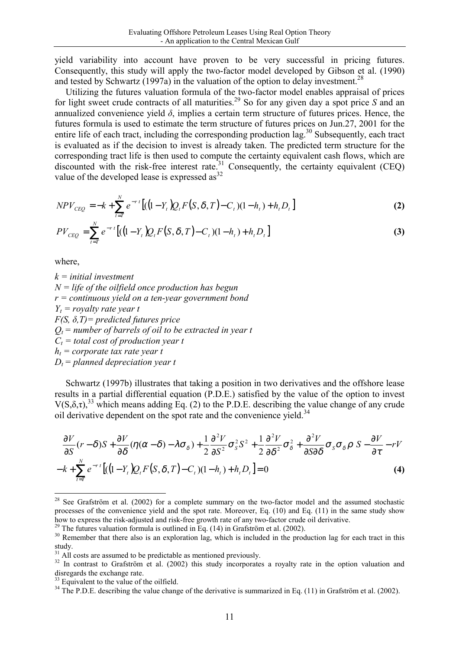yield variability into account have proven to be very successful in pricing futures. Consequently, this study will apply the two-factor model developed by Gibson et al. (1990) and tested by Schwartz (1997a) in the valuation of the option to delay investment.<sup>28</sup>

Utilizing the futures valuation formula of the two-factor model enables appraisal of prices for light sweet crude contracts of all maturities.29 So for any given day a spot price *S* and an annualized convenience yield  $\delta$ , implies a certain term structure of futures prices. Hence, the futures formula is used to estimate the term structure of futures prices on Jun.27, 2001 for the entire life of each tract, including the corresponding production lag.<sup>30</sup> Subsequently, each tract is evaluated as if the decision to invest is already taken. The predicted term structure for the corresponding tract life is then used to compute the certainty equivalent cash flows, which are discounted with the risk-free interest rate.<sup>31</sup> Consequently, the certainty equivalent (CEO) value of the developed lease is expressed as $^{32}$ 

$$
NPV_{CEQ} = -k + \sum_{t=T}^{N} e^{-rt} \left[ ((1 - Y_t)Q_t F(S, \delta, T) - C_t)(1 - h_t) + h_t D_t \right]
$$
 (2)

$$
PV_{CEQ} = \sum_{t=T}^{N} e^{-rt} \left[ ((1 - Y_t)Q_t F(S, \delta, T) - C_t)(1 - h_t) + h_t D_t \right]
$$
(3)

where,

*k = initial investment N = life of the oilfield once production has begun r = continuous yield on a ten-year government bond*   $Y_t$  = royalty rate year t *F(S, δ,T)= predicted futures price*   $Q_t$  = number of barrels of oil to be extracted in year t  $C_t$  = total cost of production year t  $h_t$  = corporate tax rate year t  $D_t$  = planned depreciation year t

Schwartz (1997b) illustrates that taking a position in two derivatives and the offshore lease results in a partial differential equation (P.D.E.) satisfied by the value of the option to invest  $V(S,\delta,\tau)$ <sup>33</sup> which means adding Eq. (2) to the P.D.E. describing the value change of any crude oil derivative dependent on the spot rate and the convenience yield.<sup>34</sup>

$$
\frac{\partial V}{\partial S}(r-\delta)S + \frac{\partial V}{\partial \delta}(\eta(\alpha-\delta) - \lambda \sigma_{\delta}) + \frac{1}{2}\frac{\partial^2 V}{\partial S^2}\sigma_{\delta}^2 S^2 + \frac{1}{2}\frac{\partial^2 V}{\partial \delta^2}\sigma_{\delta}^2 + \frac{\partial^2 V}{\partial S \partial \delta}\sigma_{S}\sigma_{\delta}\rho S - \frac{\partial V}{\partial \tau} - rV
$$
  

$$
-k + \sum_{t=T}^{N} e^{-rt} [((1-Y_t)Q_t F(S, \delta, T) - C_t)(1-h_t) + h_t D_t] = 0
$$
 (4)

<sup>&</sup>lt;sup>28</sup> See Grafström et al. (2002) for a complete summary on the two-factor model and the assumed stochastic processes of the convenience yield and the spot rate. Moreover, Eq. (10) and Eq. (11) in the same study show how to express the risk-adjusted and risk-free growth rate of any two-factor crude oil derivative.

 $29$  The futures valuation formula is outlined in Eq. (14) in Grafström et al. (2002).

<sup>&</sup>lt;sup>30</sup> Remember that there also is an exploration lag, which is included in the production lag for each tract in this study.

 $31$  All costs are assumed to be predictable as mentioned previously.

<sup>&</sup>lt;sup>32</sup> In contrast to Grafström et al. (2002) this study incorporates a royalty rate in the option valuation and disregards the exchange rate.

<sup>&</sup>lt;sup>33</sup> Equivalent to the value of the oilfield.

 $34$  The P.D.E. describing the value change of the derivative is summarized in Eq. (11) in Grafström et al. (2002).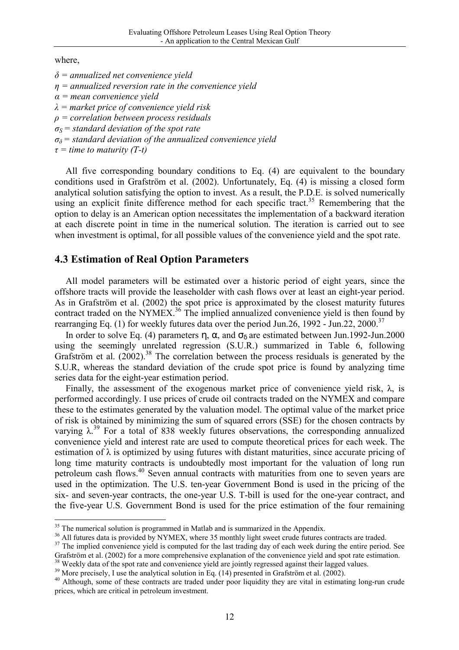where,

*δ = annualized net convenience yield η = annualized reversion rate in the convenience yield α = mean convenience yield λ = market price of convenience yield risk ρ = correlation between process residuals σS = standard deviation of the spot rate σδ= standard deviation of the annualized convenience yield τ = time to maturity (T-t)* 

All five corresponding boundary conditions to Eq. (4) are equivalent to the boundary conditions used in Grafström et al. (2002). Unfortunately, Eq. (4) is missing a closed form analytical solution satisfying the option to invest. As a result, the P.D.E. is solved numerically using an explicit finite difference method for each specific tract.<sup>35</sup> Remembering that the option to delay is an American option necessitates the implementation of a backward iteration at each discrete point in time in the numerical solution. The iteration is carried out to see when investment is optimal, for all possible values of the convenience yield and the spot rate.

### **4.3 Estimation of Real Option Parameters**

All model parameters will be estimated over a historic period of eight years, since the offshore tracts will provide the leaseholder with cash flows over at least an eight-year period. As in Grafström et al. (2002) the spot price is approximated by the closest maturity futures contract traded on the NYMEX.<sup>36</sup> The implied annualized convenience yield is then found by rearranging Eq. (1) for weekly futures data over the period Jun.26, 1992 - Jun.22, 2000.<sup>37</sup>

In order to solve Eq. (4) parameters η, α, and  $\sigma_{\delta}$  are estimated between Jun.1992-Jun.2000 using the seemingly unrelated regression (S.U.R.) summarized in Table 6, following Grafström et al.  $(2002)$ <sup>38</sup>. The correlation between the process residuals is generated by the S.U.R, whereas the standard deviation of the crude spot price is found by analyzing time series data for the eight-year estimation period.

Finally, the assessment of the exogenous market price of convenience yield risk,  $\lambda$ , is performed accordingly. I use prices of crude oil contracts traded on the NYMEX and compare these to the estimates generated by the valuation model. The optimal value of the market price of risk is obtained by minimizing the sum of squared errors (SSE) for the chosen contracts by varying  $\lambda$ <sup>39</sup> For a total of 838 weekly futures observations, the corresponding annualized convenience yield and interest rate are used to compute theoretical prices for each week. The estimation of  $\lambda$  is optimized by using futures with distant maturities, since accurate pricing of long time maturity contracts is undoubtedly most important for the valuation of long run petroleum cash flows.<sup>40</sup> Seven annual contracts with maturities from one to seven years are used in the optimization. The U.S. ten-year Government Bond is used in the pricing of the six- and seven-year contracts, the one-year U.S. T-bill is used for the one-year contract, and the five-year U.S. Government Bond is used for the price estimation of the four remaining

 $35$  The numerical solution is programmed in Matlab and is summarized in the Appendix.

<sup>&</sup>lt;sup>36</sup> All futures data is provided by NYMEX, where 35 monthly light sweet crude futures contracts are traded.

<sup>&</sup>lt;sup>37</sup> The implied convenience yield is computed for the last trading day of each week during the entire period. See Grafström et al. (2002) for a more comprehensive explanation of the convenience yield and spot rate estimation.

<sup>&</sup>lt;sup>38</sup> Weekly data of the spot rate and convenience yield are jointly regressed against their lagged values.<br><sup>39</sup> More precisely, I use the analytical solution in Eq. (14) presented in Grafström et al. (2002).

<sup>&</sup>lt;sup>40</sup> Although, some of these contracts are traded under poor liquidity they are vital in estimating long-run crude prices, which are critical in petroleum investment.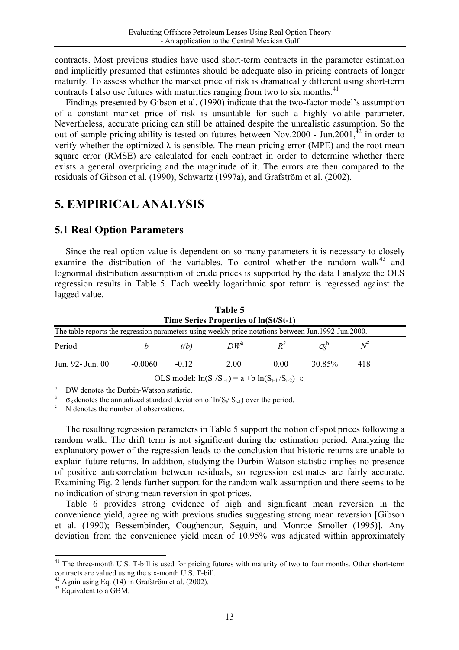contracts. Most previous studies have used short-term contracts in the parameter estimation and implicitly presumed that estimates should be adequate also in pricing contracts of longer maturity. To assess whether the market price of risk is dramatically different using short-term contracts I also use futures with maturities ranging from two to six months.<sup>41</sup>

Findings presented by Gibson et al. (1990) indicate that the two-factor model's assumption of a constant market price of risk is unsuitable for such a highly volatile parameter. Nevertheless, accurate pricing can still be attained despite the unrealistic assumption. So the out of sample pricing ability is tested on futures between Nov.2000 - Jun.2001, $^{42}$  in order to verify whether the optimized  $\lambda$  is sensible. The mean pricing error (MPE) and the root mean square error (RMSE) are calculated for each contract in order to determine whether there exists a general overpricing and the magnitude of it. The errors are then compared to the residuals of Gibson et al. (1990), Schwartz (1997a), and Grafström et al. (2002).

## **5. EMPIRICAL ANALYSIS**

### **5.1 Real Option Parameters**

Since the real option value is dependent on so many parameters it is necessary to closely examine the distribution of the variables. To control whether the random walk<sup>43</sup> and lognormal distribution assumption of crude prices is supported by the data I analyze the OLS regression results in Table 5. Each weekly logarithmic spot return is regressed against the lagged value.

|                                                                                                     |           |         | $1$ avive $\beta$   |       |                  |     |  |  |
|-----------------------------------------------------------------------------------------------------|-----------|---------|---------------------|-------|------------------|-----|--|--|
| Time Series Properties of $ln(St/St-1)$                                                             |           |         |                     |       |                  |     |  |  |
| The table reports the regression parameters using weekly price notations between Jun.1992-Jun.2000. |           |         |                     |       |                  |     |  |  |
| Period                                                                                              |           | t(b)    | $DW^{\mathfrak{a}}$ | $R^2$ | $\sigma_{S}^{P}$ |     |  |  |
| Jun. 92 - Jun. 00                                                                                   | $-0.0060$ | $-0.12$ | 2.00                | 0.00  | 30.85%           | 418 |  |  |
| OLS model: $ln(S_t/S_{t-1}) = a + b ln(S_{t-1}/S_{t-2}) + \varepsilon_t$                            |           |         |                     |       |                  |     |  |  |
|                                                                                                     |           |         |                     |       |                  |     |  |  |

**Table 5**

<sup>a</sup> DW denotes the Durbin-Watson statistic.

 $\sigma_S$  denotes the annualized standard deviation of ln(S<sub>t</sub>/ S<sub>t-1</sub>) over the period. N denotes the number of observations.

The resulting regression parameters in Table 5 support the notion of spot prices following a random walk. The drift term is not significant during the estimation period. Analyzing the explanatory power of the regression leads to the conclusion that historic returns are unable to explain future returns. In addition, studying the Durbin-Watson statistic implies no presence of positive autocorrelation between residuals, so regression estimates are fairly accurate. Examining Fig. 2 lends further support for the random walk assumption and there seems to be no indication of strong mean reversion in spot prices.

Table 6 provides strong evidence of high and significant mean reversion in the convenience yield, agreeing with previous studies suggesting strong mean reversion [Gibson et al. (1990); Bessembinder, Coughenour, Seguin, and Monroe Smoller (1995)]. Any deviation from the convenience yield mean of 10.95% was adjusted within approximately

<sup>&</sup>lt;sup>41</sup> The three-month U.S. T-bill is used for pricing futures with maturity of two to four months. Other short-term contracts are valued using the six-month U.S. T-bill.

 $42$  Again using Eq. (14) in Grafström et al. (2002).

 $43$  Equivalent to a GBM.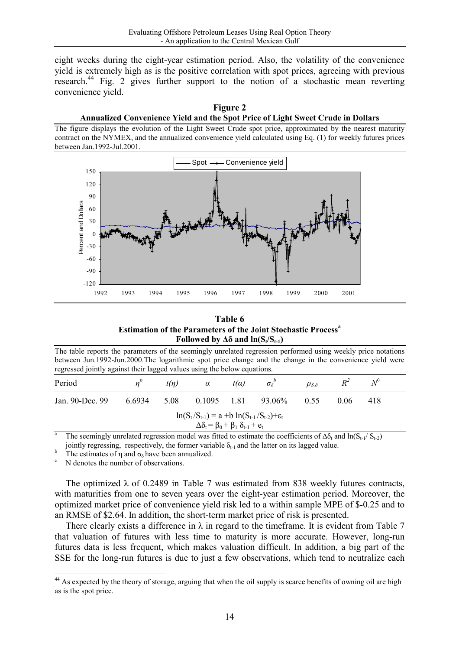eight weeks during the eight-year estimation period. Also, the volatility of the convenience yield is extremely high as is the positive correlation with spot prices, agreeing with previous research.<sup>44</sup> Fig. 2 gives further support to the notion of a stochastic mean reverting convenience yield.

#### **Figure 2 Annualized Convenience Yield and the Spot Price of Light Sweet Crude in Dollars**

The figure displays the evolution of the Light Sweet Crude spot price, approximated by the nearest maturity contract on the NYMEX, and the annualized convenience yield calculated using Eq. (1) for weekly futures prices between Jan.1992-Jul.2001.



#### **Table 6 Estimation of the Parameters of the Joint Stochastic Process<sup>a</sup> Followed by**  $\Delta\delta$  and  $\ln(S_t/S_{t-1})$

The table reports the parameters of the seemingly unrelated regression performed using weekly price notations between Jun.1992-Jun.2000.The logarithmic spot price change and the change in the convenience yield were regressed jointly against their lagged values using the below equations.

| Period                                                                                                                    |        | t(n) | $\alpha$      | $t(\alpha)$ | $\sigma_{\delta}$ | $\rho_{S,\delta}$ |      | $N^c$ |  |
|---------------------------------------------------------------------------------------------------------------------------|--------|------|---------------|-------------|-------------------|-------------------|------|-------|--|
| Jan. 90-Dec. 99                                                                                                           | 6.6934 | 5.08 | $0.1095$ 1.81 |             | 93.06%            | 0.55              | 0.06 | 418   |  |
| $ln(S_t/S_{t-1}) = a + b ln(S_{t-1}/S_{t-2}) + \varepsilon_t$<br>$\Delta \delta_t = \beta_0 + \beta_1 \delta_{t-1} + e_t$ |        |      |               |             |                   |                   |      |       |  |
|                                                                                                                           |        |      |               |             |                   |                   |      |       |  |

The seemingly unrelated regression model was fitted to estimate the coefficients of  $\Delta \delta_t$  and  $\ln(S_{t-1}/S_{t-2})$ jointly regressing, respectively, the former variable  $\delta_{t-1}$  and the latter on its lagged value.

b

<sup>b</sup> The estimates of  $\eta$  and  $\sigma_{\delta}$  have been annualized. N denotes the number of observations.

The optimized  $\lambda$  of 0.2489 in Table 7 was estimated from 838 weekly futures contracts, with maturities from one to seven years over the eight-year estimation period. Moreover, the optimized market price of convenience yield risk led to a within sample MPE of \$-0.25 and to an RMSE of \$2.64. In addition, the short-term market price of risk is presented.

There clearly exists a difference in  $\lambda$  in regard to the timeframe. It is evident from Table 7 that valuation of futures with less time to maturity is more accurate. However, long-run futures data is less frequent, which makes valuation difficult. In addition, a big part of the SSE for the long-run futures is due to just a few observations, which tend to neutralize each

<sup>&</sup>lt;sup>44</sup> As expected by the theory of storage, arguing that when the oil supply is scarce benefits of owning oil are high as is the spot price.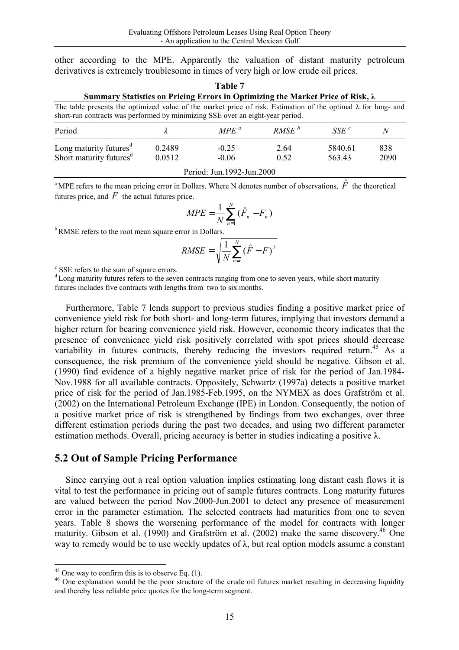other according to the MPE. Apparently the valuation of distant maturity petroleum derivatives is extremely troublesome in times of very high or low crude oil prices.

| L<br>I |  |  |  |  |  |  |  |
|--------|--|--|--|--|--|--|--|
|--------|--|--|--|--|--|--|--|

#### **Summary Statistics on Pricing Errors in Optimizing the Market Price of Risk, λ**

The table presents the optimized value of the market price of risk. Estimation of the optimal  $\lambda$  for long- and short-run contracts was performed by minimizing SSE over an eight-year period.

| Period                                                                    |                  | MPE <sup>a</sup>   | RMSE <sup>b</sup> | SSE <sup>c</sup>  | λ           |  |
|---------------------------------------------------------------------------|------------------|--------------------|-------------------|-------------------|-------------|--|
| Long maturity futures <sup>d</sup><br>Short maturity futures <sup>d</sup> | 0.2489<br>0.0512 | $-0.25$<br>$-0.06$ | 2.64<br>0.52      | 5840.61<br>563.43 | 838<br>2090 |  |
| Period: Jun.1992-Jun.2000                                                 |                  |                    |                   |                   |             |  |

<sup>a</sup> MPE refers to the mean pricing error in Dollars. Where N denotes number of observations,  $\hat{F}$  the theoretical futures price, and  $F$  the actual futures price.

$$
MPE = \frac{1}{N} \sum_{n=1}^{N} (\hat{F}_n - F_n)
$$

<sup>b</sup> RMSE refers to the root mean square error in Dollars.

$$
RMSE = \sqrt{\frac{1}{N} \sum_{n=1}^{N} (\hat{F} - F)^2}
$$

c SSE refers to the sum of square errors.

 $\alpha$ <sup>d</sup> Long maturity futures refers to the seven contracts ranging from one to seven years, while short maturity futures includes five contracts with lengths from two to six months.

Furthermore, Table 7 lends support to previous studies finding a positive market price of convenience yield risk for both short- and long-term futures, implying that investors demand a higher return for bearing convenience yield risk. However, economic theory indicates that the presence of convenience yield risk positively correlated with spot prices should decrease variability in futures contracts, thereby reducing the investors required return.<sup>45</sup> As a consequence, the risk premium of the convenience yield should be negative. Gibson et al. (1990) find evidence of a highly negative market price of risk for the period of Jan.1984- Nov.1988 for all available contracts. Oppositely, Schwartz (1997a) detects a positive market price of risk for the period of Jan.1985-Feb.1995, on the NYMEX as does Grafström et al. (2002) on the International Petroleum Exchange (IPE) in London. Consequently, the notion of a positive market price of risk is strengthened by findings from two exchanges, over three different estimation periods during the past two decades, and using two different parameter estimation methods. Overall, pricing accuracy is better in studies indicating a positive λ.

#### **5.2 Out of Sample Pricing Performance**

Since carrying out a real option valuation implies estimating long distant cash flows it is vital to test the performance in pricing out of sample futures contracts. Long maturity futures are valued between the period Nov.2000-Jun.2001 to detect any presence of measurement error in the parameter estimation. The selected contracts had maturities from one to seven years. Table 8 shows the worsening performance of the model for contracts with longer maturity. Gibson et al. (1990) and Grafström et al. (2002) make the same discovery.<sup>46</sup> One way to remedy would be to use weekly updates of  $\lambda$ , but real option models assume a constant

 $45$  One way to confirm this is to observe Eq. (1).

<sup>&</sup>lt;sup>46</sup> One explanation would be the poor structure of the crude oil futures market resulting in decreasing liquidity and thereby less reliable price quotes for the long-term segment.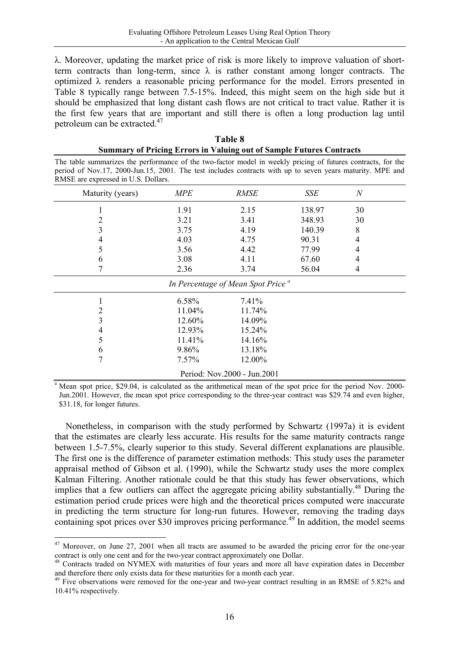λ. Moreover, updating the market price of risk is more likely to improve valuation of shortterm contracts than long-term, since  $\lambda$  is rather constant among longer contracts. The optimized  $\lambda$  renders a reasonable pricing performance for the model. Errors presented in Table 8 typically range between 7.5-15%. Indeed, this might seem on the high side but it should be emphasized that long distant cash flows are not critical to tract value. Rather it is the first few years that are important and still there is often a long production lag until petroleum can be extracted.<sup>47</sup>

| Table 8                                                                     |
|-----------------------------------------------------------------------------|
| <b>Summary of Pricing Errors in Valuing out of Sample Futures Contracts</b> |

The table summarizes the performance of the two-factor model in weekly pricing of futures contracts, for the period of Nov.17, 2000-Jun.15, 2001. The test includes contracts with up to seven years maturity. MPE and RMSE are expressed in U.S. Dollars.

| Maturity (years)                              | <b>MPE</b> | <b>RMSE</b>                 | SSE    | $\boldsymbol{N}$ |  |  |  |
|-----------------------------------------------|------------|-----------------------------|--------|------------------|--|--|--|
|                                               | 1.91       | 2.15                        | 138.97 | 30               |  |  |  |
| 2                                             | 3.21       | 3.41                        | 348.93 | 30               |  |  |  |
| 3                                             | 3.75       | 4.19                        | 140.39 | 8                |  |  |  |
| 4                                             | 4.03       | 4.75                        | 90.31  | 4                |  |  |  |
| 5                                             | 3.56       | 4.42                        | 77.99  | 4                |  |  |  |
| 6                                             | 3.08       | 4.11                        | 67.60  | 4                |  |  |  |
|                                               | 2.36       | 3.74                        | 56.04  | 4                |  |  |  |
| In Percentage of Mean Spot Price <sup>a</sup> |            |                             |        |                  |  |  |  |
|                                               | 6.58%      | 7.41%                       |        |                  |  |  |  |
| 2                                             | 11.04%     | 11.74%                      |        |                  |  |  |  |
| 3                                             | 12.60%     | 14.09%                      |        |                  |  |  |  |
| 4                                             | 12.93%     | 15.24%                      |        |                  |  |  |  |
| 5                                             | 11.41%     | 14.16%                      |        |                  |  |  |  |
| 6                                             | 9.86%      | 13.18%                      |        |                  |  |  |  |
| 7                                             | 7.57%      | 12.00%                      |        |                  |  |  |  |
|                                               |            | Period: Nov.2000 - Jun.2001 |        |                  |  |  |  |

<sup>a</sup> Mean spot price, \$29.04, is calculated as the arithmetical mean of the spot price for the period Nov. 2000-Jun.2001. However, the mean spot price corresponding to the three-year contract was \$29.74 and even higher, \$31.18, for longer futures.

Nonetheless, in comparison with the study performed by Schwartz (1997a) it is evident that the estimates are clearly less accurate. His results for the same maturity contracts range between 1.5-7.5%, clearly superior to this study. Several different explanations are plausible. The first one is the difference of parameter estimation methods: This study uses the parameter appraisal method of Gibson et al. (1990), while the Schwartz study uses the more complex Kalman Filtering. Another rationale could be that this study has fewer observations, which implies that a few outliers can affect the aggregate pricing ability substantially.<sup>48</sup> During the estimation period crude prices were high and the theoretical prices computed were inaccurate in predicting the term structure for long-run futures. However, removing the trading days containing spot prices over \$30 improves pricing performance.<sup>49</sup> In addition, the model seems

  $47$  Moreover, on June 27, 2001 when all tracts are assumed to be awarded the pricing error for the one-year contract is only one cent and for the two-year contract approximately one Dollar.

<sup>&</sup>lt;sup>48</sup> Contracts traded on NYMEX with maturities of four years and more all have expiration dates in December and therefore there only exists data for these maturities for a month each year.

<sup>&</sup>lt;sup>49</sup> Five observations were removed for the one-year and two-year contract resulting in an RMSE of 5.82% and 10.41% respectively.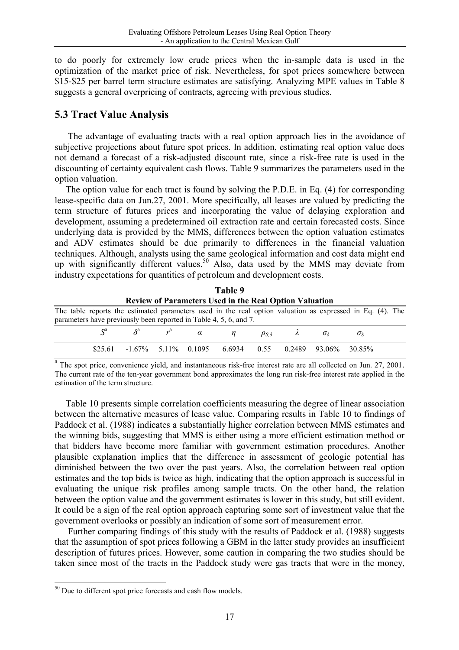to do poorly for extremely low crude prices when the in-sample data is used in the optimization of the market price of risk. Nevertheless, for spot prices somewhere between \$15-\$25 per barrel term structure estimates are satisfying. Analyzing MPE values in Table 8 suggests a general overpricing of contracts, agreeing with previous studies.

## **5.3 Tract Value Analysis**

 The advantage of evaluating tracts with a real option approach lies in the avoidance of subjective projections about future spot prices. In addition, estimating real option value does not demand a forecast of a risk-adjusted discount rate, since a risk-free rate is used in the discounting of certainty equivalent cash flows. Table 9 summarizes the parameters used in the option valuation.

The option value for each tract is found by solving the P.D.E. in Eq. (4) for corresponding lease-specific data on Jun.27, 2001. More specifically, all leases are valued by predicting the term structure of futures prices and incorporating the value of delaying exploration and development, assuming a predetermined oil extraction rate and certain forecasted costs. Since underlying data is provided by the MMS, differences between the option valuation estimates and ADV estimates should be due primarily to differences in the financial valuation techniques. Although, analysts using the same geological information and cost data might end up with significantly different values.<sup>50</sup> Also, data used by the MMS may deviate from industry expectations for quantities of petroleum and development costs.

|                                                                                                           |                                                                                      |  |  | тане 9 |  |  |  |                  |  |
|-----------------------------------------------------------------------------------------------------------|--------------------------------------------------------------------------------------|--|--|--------|--|--|--|------------------|--|
| <b>Review of Parameters Used in the Real Option Valuation</b>                                             |                                                                                      |  |  |        |  |  |  |                  |  |
| The table reports the estimated parameters used in the real option valuation as expressed in Eq. (4). The |                                                                                      |  |  |        |  |  |  |                  |  |
| parameters have previously been reported in Table 4, 5, 6, and 7.                                         |                                                                                      |  |  |        |  |  |  |                  |  |
|                                                                                                           | $S^a$ $\delta^a$ $r^a$ $\alpha$ $\eta$ $\rho_{S,\delta}$ $\lambda$ $\sigma_{\delta}$ |  |  |        |  |  |  | $\sigma_{\rm S}$ |  |
|                                                                                                           | \$25.61 -1.67% 5.11% 0.1095 6.6934 0.55 0.2489 93.06% 30.85%                         |  |  |        |  |  |  |                  |  |

**Table 9** 

<sup>a</sup> The spot price, convenience yield, and instantaneous risk-free interest rate are all collected on Jun. 27, 2001. The current rate of the ten-year government bond approximates the long run risk-free interest rate applied in the estimation of the term structure.

Table 10 presents simple correlation coefficients measuring the degree of linear association between the alternative measures of lease value. Comparing results in Table 10 to findings of Paddock et al. (1988) indicates a substantially higher correlation between MMS estimates and the winning bids, suggesting that MMS is either using a more efficient estimation method or that bidders have become more familiar with government estimation procedures. Another plausible explanation implies that the difference in assessment of geologic potential has diminished between the two over the past years. Also, the correlation between real option estimates and the top bids is twice as high, indicating that the option approach is successful in evaluating the unique risk profiles among sample tracts. On the other hand, the relation between the option value and the government estimates is lower in this study, but still evident. It could be a sign of the real option approach capturing some sort of investment value that the government overlooks or possibly an indication of some sort of measurement error.

Further comparing findings of this study with the results of Paddock et al. (1988) suggests that the assumption of spot prices following a GBM in the latter study provides an insufficient description of futures prices. However, some caution in comparing the two studies should be taken since most of the tracts in the Paddock study were gas tracts that were in the money,

 $50$  Due to different spot price forecasts and cash flow models.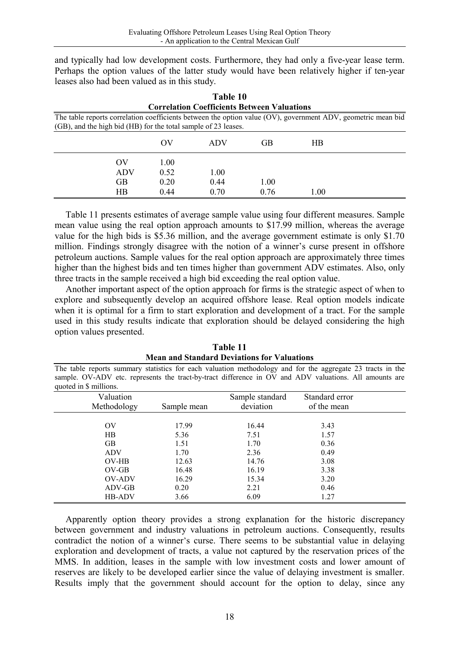and typically had low development costs. Furthermore, they had only a five-year lease term. Perhaps the option values of the latter study would have been relatively higher if ten-year leases also had been valued as in this study.

|                                                    |                |                | Table 10                                                       |      |                |                                                                                                              |  |  |
|----------------------------------------------------|----------------|----------------|----------------------------------------------------------------|------|----------------|--------------------------------------------------------------------------------------------------------------|--|--|
| <b>Correlation Coefficients Between Valuations</b> |                |                |                                                                |      |                |                                                                                                              |  |  |
|                                                    |                |                |                                                                |      |                | The table reports correlation coefficients between the option value (OV), government ADV, geometric mean bid |  |  |
|                                                    |                |                | (GB), and the high bid (HB) for the total sample of 23 leases. |      |                |                                                                                                              |  |  |
|                                                    |                | O <sub>V</sub> | <b>ADV</b>                                                     | GB   | H <sub>B</sub> |                                                                                                              |  |  |
|                                                    | O <sub>V</sub> | 1.00           |                                                                |      |                |                                                                                                              |  |  |
|                                                    | <b>ADV</b>     | 0.52           | 1.00                                                           |      |                |                                                                                                              |  |  |
|                                                    | <b>GB</b>      | 0.20           | 0.44                                                           | 1.00 |                |                                                                                                              |  |  |
|                                                    | HB             | 0.44           | 0.70                                                           | 0.76 | 1.00           |                                                                                                              |  |  |

Table 11 presents estimates of average sample value using four different measures. Sample mean value using the real option approach amounts to \$17.99 million, whereas the average value for the high bids is \$5.36 million, and the average government estimate is only \$1.70 million. Findings strongly disagree with the notion of a winner's curse present in offshore petroleum auctions. Sample values for the real option approach are approximately three times higher than the highest bids and ten times higher than government ADV estimates. Also, only three tracts in the sample received a high bid exceeding the real option value.

Another important aspect of the option approach for firms is the strategic aspect of when to explore and subsequently develop an acquired offshore lease. Real option models indicate when it is optimal for a firm to start exploration and development of a tract. For the sample used in this study results indicate that exploration should be delayed considering the high option values presented.

| Table 11                                                                                                   |  |  |  |  |  |
|------------------------------------------------------------------------------------------------------------|--|--|--|--|--|
| <b>Mean and Standard Deviations for Valuations</b>                                                         |  |  |  |  |  |
| The table reports summary statistics for each valuation methodology and for the aggregate 23 tracts in the |  |  |  |  |  |
| sample. OV-ADV etc. represents the tract-by-tract difference in OV and ADV valuations. All amounts are     |  |  |  |  |  |
| quoted in \$ millions.                                                                                     |  |  |  |  |  |

| $\mu$ quoted in $\phi$ immons. |             |                 |                |  |
|--------------------------------|-------------|-----------------|----------------|--|
| Valuation                      |             | Sample standard | Standard error |  |
| Methodology                    | Sample mean | deviation       | of the mean    |  |
|                                |             |                 |                |  |
| OV                             | 17.99       | 16.44           | 3.43           |  |
| $_{\rm HB}$                    | 5.36        | 7.51            | 1.57           |  |
| <b>GB</b>                      | 1.51        | 1.70            | 0.36           |  |
| <b>ADV</b>                     | 1.70        | 2.36            | 0.49           |  |
| OV-HB                          | 12.63       | 14.76           | 3.08           |  |
| $OV-GB$                        | 16.48       | 16.19           | 3.38           |  |
| OV-ADV                         | 16.29       | 15.34           | 3.20           |  |
| ADV-GB                         | 0.20        | 2.21            | 0.46           |  |
| <b>HB-ADV</b>                  | 3.66        | 6.09            | 1.27           |  |
|                                |             |                 |                |  |

Apparently option theory provides a strong explanation for the historic discrepancy between government and industry valuations in petroleum auctions. Consequently, results contradict the notion of a winner's curse. There seems to be substantial value in delaying exploration and development of tracts, a value not captured by the reservation prices of the MMS. In addition, leases in the sample with low investment costs and lower amount of reserves are likely to be developed earlier since the value of delaying investment is smaller. Results imply that the government should account for the option to delay, since any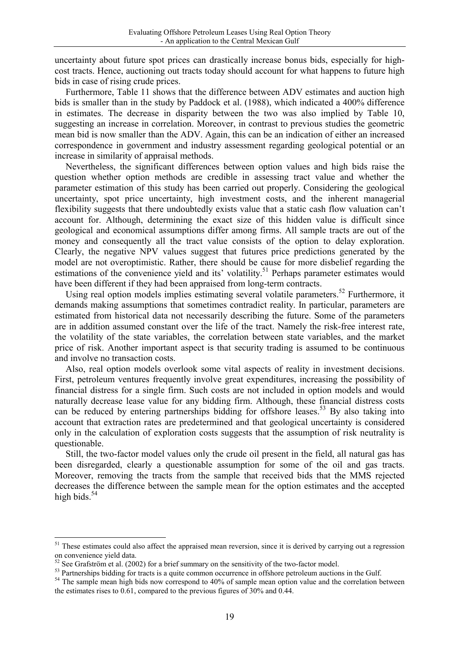uncertainty about future spot prices can drastically increase bonus bids, especially for highcost tracts. Hence, auctioning out tracts today should account for what happens to future high bids in case of rising crude prices.

Furthermore, Table 11 shows that the difference between ADV estimates and auction high bids is smaller than in the study by Paddock et al. (1988), which indicated a 400% difference in estimates. The decrease in disparity between the two was also implied by Table 10, suggesting an increase in correlation. Moreover, in contrast to previous studies the geometric mean bid is now smaller than the ADV. Again, this can be an indication of either an increased correspondence in government and industry assessment regarding geological potential or an increase in similarity of appraisal methods.

Nevertheless, the significant differences between option values and high bids raise the question whether option methods are credible in assessing tract value and whether the parameter estimation of this study has been carried out properly. Considering the geological uncertainty, spot price uncertainty, high investment costs, and the inherent managerial flexibility suggests that there undoubtedly exists value that a static cash flow valuation can't account for. Although, determining the exact size of this hidden value is difficult since geological and economical assumptions differ among firms. All sample tracts are out of the money and consequently all the tract value consists of the option to delay exploration. Clearly, the negative NPV values suggest that futures price predictions generated by the model are not overoptimistic. Rather, there should be cause for more disbelief regarding the estimations of the convenience yield and its' volatility.<sup>51</sup> Perhaps parameter estimates would have been different if they had been appraised from long-term contracts.

Using real option models implies estimating several volatile parameters.<sup>52</sup> Furthermore, it demands making assumptions that sometimes contradict reality. In particular, parameters are estimated from historical data not necessarily describing the future. Some of the parameters are in addition assumed constant over the life of the tract. Namely the risk-free interest rate, the volatility of the state variables, the correlation between state variables, and the market price of risk. Another important aspect is that security trading is assumed to be continuous and involve no transaction costs.

 Also, real option models overlook some vital aspects of reality in investment decisions. First, petroleum ventures frequently involve great expenditures, increasing the possibility of financial distress for a single firm. Such costs are not included in option models and would naturally decrease lease value for any bidding firm. Although, these financial distress costs can be reduced by entering partnerships bidding for offshore leases.<sup>53</sup> By also taking into account that extraction rates are predetermined and that geological uncertainty is considered only in the calculation of exploration costs suggests that the assumption of risk neutrality is questionable.

Still, the two-factor model values only the crude oil present in the field, all natural gas has been disregarded, clearly a questionable assumption for some of the oil and gas tracts. Moreover, removing the tracts from the sample that received bids that the MMS rejected decreases the difference between the sample mean for the option estimates and the accepted high bids. $54$ 

 $51$  These estimates could also affect the appraised mean reversion, since it is derived by carrying out a regression on convenience yield data.

 $52$  See Grafström et al. (2002) for a brief summary on the sensitivity of the two-factor model.

<sup>&</sup>lt;sup>53</sup> Partnerships bidding for tracts is a quite common occurrence in offshore petroleum auctions in the Gulf.

<sup>&</sup>lt;sup>54</sup> The sample mean high bids now correspond to 40% of sample mean option value and the correlation between the estimates rises to 0.61, compared to the previous figures of 30% and 0.44.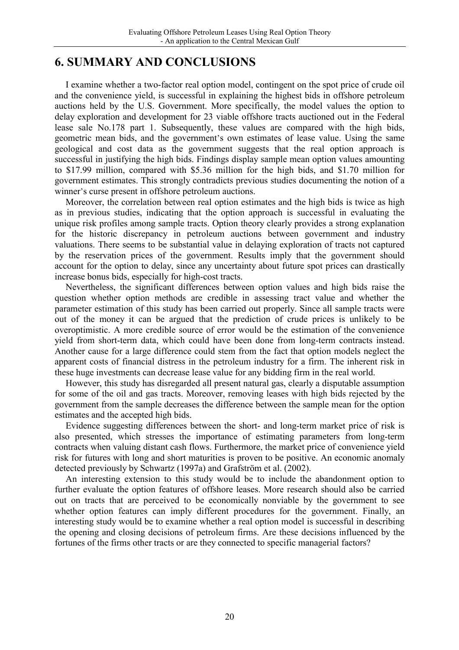## **6. SUMMARY AND CONCLUSIONS**

I examine whether a two-factor real option model, contingent on the spot price of crude oil and the convenience yield, is successful in explaining the highest bids in offshore petroleum auctions held by the U.S. Government. More specifically, the model values the option to delay exploration and development for 23 viable offshore tracts auctioned out in the Federal lease sale No.178 part 1. Subsequently, these values are compared with the high bids, geometric mean bids, and the government's own estimates of lease value. Using the same geological and cost data as the government suggests that the real option approach is successful in justifying the high bids. Findings display sample mean option values amounting to \$17.99 million, compared with \$5.36 million for the high bids, and \$1.70 million for government estimates. This strongly contradicts previous studies documenting the notion of a winner's curse present in offshore petroleum auctions.

Moreover, the correlation between real option estimates and the high bids is twice as high as in previous studies, indicating that the option approach is successful in evaluating the unique risk profiles among sample tracts. Option theory clearly provides a strong explanation for the historic discrepancy in petroleum auctions between government and industry valuations. There seems to be substantial value in delaying exploration of tracts not captured by the reservation prices of the government. Results imply that the government should account for the option to delay, since any uncertainty about future spot prices can drastically increase bonus bids, especially for high-cost tracts.

Nevertheless, the significant differences between option values and high bids raise the question whether option methods are credible in assessing tract value and whether the parameter estimation of this study has been carried out properly. Since all sample tracts were out of the money it can be argued that the prediction of crude prices is unlikely to be overoptimistic. A more credible source of error would be the estimation of the convenience yield from short-term data, which could have been done from long-term contracts instead. Another cause for a large difference could stem from the fact that option models neglect the apparent costs of financial distress in the petroleum industry for a firm. The inherent risk in these huge investments can decrease lease value for any bidding firm in the real world.

However, this study has disregarded all present natural gas, clearly a disputable assumption for some of the oil and gas tracts. Moreover, removing leases with high bids rejected by the government from the sample decreases the difference between the sample mean for the option estimates and the accepted high bids.

Evidence suggesting differences between the short- and long-term market price of risk is also presented, which stresses the importance of estimating parameters from long-term contracts when valuing distant cash flows. Furthermore, the market price of convenience yield risk for futures with long and short maturities is proven to be positive. An economic anomaly detected previously by Schwartz (1997a) and Grafström et al. (2002).

An interesting extension to this study would be to include the abandonment option to further evaluate the option features of offshore leases. More research should also be carried out on tracts that are perceived to be economically nonviable by the government to see whether option features can imply different procedures for the government. Finally, an interesting study would be to examine whether a real option model is successful in describing the opening and closing decisions of petroleum firms. Are these decisions influenced by the fortunes of the firms other tracts or are they connected to specific managerial factors?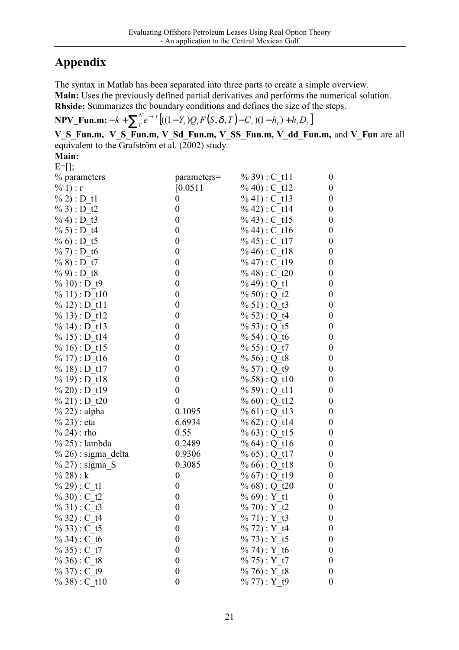# **Appendix**

The syntax in Matlab has been separated into three parts to create a simple overview. **Main:** Uses the previously defined partial derivatives and performs the numerical solution.

**Rhside:** Summarizes the boundary conditions and defines the size of the steps.

**NPV\_Fun.m:**  $- k + \sum_{r}^{N} e^{-rt} \left[ ((1 - Y_{t})Q_{t} F(S, \delta, T) - C_{t}) (1 - h_{t}) + h_{t} D_{t} \right]$  $-k + \sum_{t}^{N} e^{-rt} \left[ ((1 - Y_t)Q_t F(S, \delta, T) - C_t) (1 - h_t) + h_t D \right]$ 

**V\_S\_Fun.m, V\_S\_Fun.m, V\_Sd\_Fun.m, V\_SS\_Fun.m, V\_dd\_Fun.m,** and **V\_Fun** are all equivalent to the Grafström et  $\overline{al}$ . (2002) study.

**Main:**   $E=$ [];

| % parameters           | parameters=      | $\%$ 39): C t11  | $\boldsymbol{0}$ |
|------------------------|------------------|------------------|------------------|
| % 1) : r               | [0.0511]         | % 40) : C t12    | $\boldsymbol{0}$ |
| $\% 2) : D_t1$         | $\boldsymbol{0}$ | $\%$ 41): C t13  | $\boldsymbol{0}$ |
| $% 3$ : D_t2           | $\boldsymbol{0}$ | % 42): C t14     | $\boldsymbol{0}$ |
| $\%$ 4) : D t3         | $\boldsymbol{0}$ | $\%$ 43): C t15  | $\boldsymbol{0}$ |
| $\% 5$ : D t4          | $\boldsymbol{0}$ | % 44) : $C_116$  | $\boldsymbol{0}$ |
| $\% 6$ : D_t5          | $\boldsymbol{0}$ | % 45) : C t17    | $\boldsymbol{0}$ |
| $\%$ 7) : D t6         | $\boldsymbol{0}$ | $\%$ 46): C t18  | $\boldsymbol{0}$ |
| $\%$ 8) : D_t7         | $\boldsymbol{0}$ | % 47) : $C_t19$  | $\boldsymbol{0}$ |
| $\%$ 9) : D_t8         | $\boldsymbol{0}$ | $\%$ 48) : C t20 | $\boldsymbol{0}$ |
| $\%$ 10) : D t9        | $\boldsymbol{0}$ | % $49$ : Q_t1    | $\boldsymbol{0}$ |
| $\%$ 11) : D t10       | $\boldsymbol{0}$ | % 50) : Q t2     | $\boldsymbol{0}$ |
| $% 12$ : D_t11         | $\boldsymbol{0}$ | % 51) : $Q_t$ t3 | $\boldsymbol{0}$ |
| $\%$ 13): D t12        | $\boldsymbol{0}$ | % 52): Q t4      | $\boldsymbol{0}$ |
| $\%$ 14): D t13        | $\boldsymbol{0}$ | % 53): Q t5      | $\boldsymbol{0}$ |
| $\%$ 15): D t14        | $\boldsymbol{0}$ | % 54) : Q t6     | $\boldsymbol{0}$ |
| $\%$ 16): D t15        | $\boldsymbol{0}$ | % 55) : Q t7     | $\boldsymbol{0}$ |
| $\%$ 17): D t16        | $\boldsymbol{0}$ | % 56) : Q t8     | $\boldsymbol{0}$ |
| $\%$ 18): D t17        | $\boldsymbol{0}$ | % 57) : $Q_t$ t9 | $\boldsymbol{0}$ |
| $\%$ 19): D t18        | $\boldsymbol{0}$ | % 58) : Q t10    | $\boldsymbol{0}$ |
| $\% 20$ : D t19        | $\boldsymbol{0}$ | $\%$ 59): Q t11  | $\boldsymbol{0}$ |
| $\%$ 21) : D t20       | $\boldsymbol{0}$ | % $60$ : Q t12   | $\boldsymbol{0}$ |
| $\%$ 22) : alpha       | 0.1095           | % 61): Q t13     | $\boldsymbol{0}$ |
| $\%$ 23) : eta         | 6.6934           | % $62$ ) : Q_t14 | $\boldsymbol{0}$ |
| % 24) : rho            | 0.55             | % $63$ ) : Q t15 | $\boldsymbol{0}$ |
| $\%$ 25) : lambda      | 0.2489           | % $64$ ) : Q t16 | $\boldsymbol{0}$ |
| $\%$ 26) : sigma_delta | 0.9306           | % $65$ : Q t17   | $\boldsymbol{0}$ |
| $\%$ 27) : sigma_S     | 0.3085           | % $66$ : Q t18   | $\boldsymbol{0}$ |
| % 28) : $k$            | $\boldsymbol{0}$ | % $67$ : Q_t19   | $\boldsymbol{0}$ |
| $\%$ 29) : C t1        | $\boldsymbol{0}$ | $\%$ 68) : Q t20 | $\boldsymbol{0}$ |
| % 30) : C t2           | $\boldsymbol{0}$ | $% 69$ : Y_t1    | $\boldsymbol{0}$ |
| % 31) : $C_t$ t3       | $\boldsymbol{0}$ | $\%$ 70) : Y t2  | $\boldsymbol{0}$ |
| % 32) : $C_1$ t4       | $\boldsymbol{0}$ | % $71):Y_t3$     | $\boldsymbol{0}$ |
| $\% 33$ : C t5         | $\boldsymbol{0}$ | $\%$ 72) : Y t4  | $\boldsymbol{0}$ |
| $\%$ 34) : C t6        | $\boldsymbol{0}$ | $% 73$ ): Y t5   | 0                |
| $\% 35$ : C t7         | $\boldsymbol{0}$ | $% 74$ : Y t6    | 0                |
| $\% 36$ : C t8         | $\boldsymbol{0}$ | $\%$ 75): Y t7   | 0                |
| $\% 37$ : C t9         | $\boldsymbol{0}$ | $\%$ 76): Y t8   | 0                |
| $\% 38$ : C t10        | $\boldsymbol{0}$ | $% 77$ ) : Y t9  | $\boldsymbol{0}$ |
|                        |                  |                  |                  |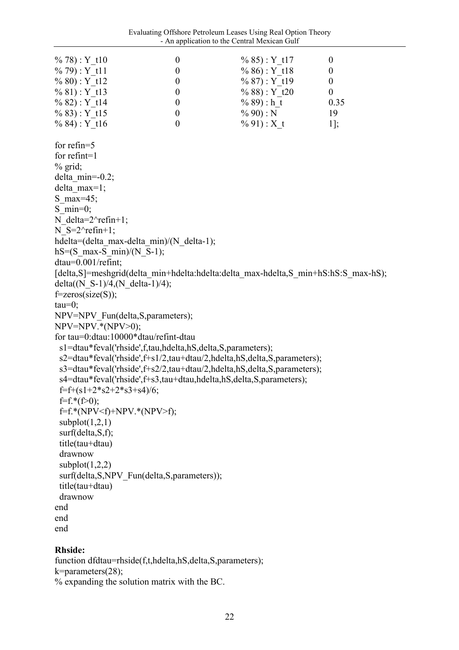| $\%$ 78): Y t10                                                                    | $\boldsymbol{0}$ | $\%$ 85): Y t17 | $\boldsymbol{0}$ |
|------------------------------------------------------------------------------------|------------------|-----------------|------------------|
| $\%$ 79): Y t11                                                                    | $\boldsymbol{0}$ | $\% 86$ : Y t18 | $\boldsymbol{0}$ |
| $\% 80$ : Y t12                                                                    | $\boldsymbol{0}$ | $\%$ 87): Y t19 | $\boldsymbol{0}$ |
| $\% 81$ : Y t13                                                                    | $\boldsymbol{0}$ | $\%$ 88): Y t20 | $\boldsymbol{0}$ |
| $\%$ 82): Y t14                                                                    | $\boldsymbol{0}$ | $\%$ 89): h t   | 0.35             |
| $\%$ 83): Y t15                                                                    | $\boldsymbol{0}$ | $\%$ 90) : N    | 19               |
| $\%$ 84): Y t16                                                                    | $\boldsymbol{0}$ | $% 91$ : X t    | $1$ ];           |
| for refin= $5$                                                                     |                  |                 |                  |
| for $refint=1$                                                                     |                  |                 |                  |
| $%$ grid;                                                                          |                  |                 |                  |
| delta min= $-0.2$ ;                                                                |                  |                 |                  |
| delta $max=1$ ;                                                                    |                  |                 |                  |
| S max=45;                                                                          |                  |                 |                  |
| S min=0;                                                                           |                  |                 |                  |
| N delta= $2^{\wedge}$ refin+1;                                                     |                  |                 |                  |
| N $S=2^{\wedge}refin+1$ ;                                                          |                  |                 |                  |
| hdelta=(delta max-delta min)/(N delta-1);                                          |                  |                 |                  |
| $hS = (S$ max-S min)/(N S-1);                                                      |                  |                 |                  |
| dtau=0.001/refint;                                                                 |                  |                 |                  |
| [delta,S]=meshgrid(delta min+hdelta:hdelta:delta max-hdelta,S min+hS:hS:S max-hS); |                  |                 |                  |
| delta $(N_S-1)/4$ , $(N$ delta-1)/4);                                              |                  |                 |                  |
| $f = zeros(size(S));$                                                              |                  |                 |                  |
| $tau=0$ ;                                                                          |                  |                 |                  |
| NPV=NPV Fun(delta, S, parameters);                                                 |                  |                 |                  |
| $NPV=NPV.*(NPV>0);$                                                                |                  |                 |                  |
| for tau=0:dtau:10000*dtau/refint-dtau                                              |                  |                 |                  |
| s1=dtau*feval('rhside',f,tau,hdelta,hS,delta,S,parameters);                        |                  |                 |                  |
| s2=dtau*feval('rhside',f+s1/2,tau+dtau/2,hdelta,hS,delta,S,parameters);            |                  |                 |                  |
| s3=dtau*feval('rhside',f+s2/2,tau+dtau/2,hdelta,hS,delta,S,parameters);            |                  |                 |                  |
| s4=dtau*feval('rhside',f+s3,tau+dtau,hdelta,hS,delta,S,parameters);                |                  |                 |                  |
| $f=f+(s1+2*s2+2*s3+s4)/6;$                                                         |                  |                 |                  |
| $f=f.*(f>0);$                                                                      |                  |                 |                  |
| $f=f.*(NPV\le f)+NPV.*(NPV>f);$                                                    |                  |                 |                  |
| subplot $(1,2,1)$                                                                  |                  |                 |                  |
| surf(delta, S, f);                                                                 |                  |                 |                  |
| title(tau+dtau)                                                                    |                  |                 |                  |
| drawnow                                                                            |                  |                 |                  |
| subplot $(1,2,2)$                                                                  |                  |                 |                  |
| surf(delta, S, NPV Fun(delta, S, parameters));                                     |                  |                 |                  |
| title(tau+dtau)                                                                    |                  |                 |                  |
| drawnow                                                                            |                  |                 |                  |
| end                                                                                |                  |                 |                  |
| end                                                                                |                  |                 |                  |
| end                                                                                |                  |                 |                  |
|                                                                                    |                  |                 |                  |

### **Rhside:**

function dfdtau=rhside(f,t,hdelta,hS,delta,S,parameters); k=parameters(28); % expanding the solution matrix with the BC.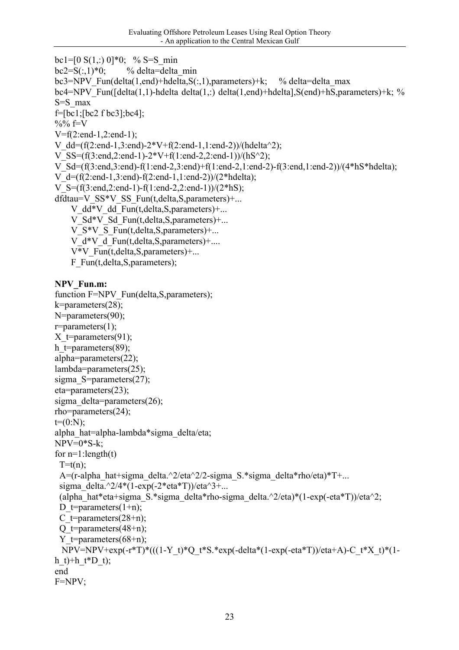```
bc1=[0 S(1,:) 0]*0; % S=S min
bc2=S(.1)*0; % delta=delta min
bc3=NPV_Fun(delta(1,end)+hdelta,S(:,1),parameters)+k; % delta=delta_max
bc4=NPV_Fun(\lceil \text{delta}(1,1) \cdot \text{delta}(\text{data}(1,:)) \cdot \text{delta}(1,\text{end}) + \text{delta}(\text{lambda}) + \text{hS},parameters)+k; %
S=S_max 
f=[bc1;[bc2 f bc3];bc4]; 
%% f=VV=f(2:end-1,2:end-1); 
V_dd=(f(2:end-1,3:end)-2*V+f(2:end-1,1:end-2))/(hdelta^2);
V_SS=(f(3:end,2:end-1)-2*V+f(1:end-2,2:end-1))/(hS^2);
V_S = (f(3):end3:end) - f(1):end2,3:end) + f(1):end2,1:end2) - f(3):end1:end2) /(4*hS*hdelta);
V d=(f(2:end-1,3:end)-f(2:end-1,1:end-2))/(2*hdelta);
V S=(f(3:end.2:end-1)-f(1:end-2,2:end-1))/(2*hS);dfdtau=V_SS*V_SS_Fun(t,delta,S,parameters)+...
    V dd*V dd Fun(t,\text{delta},S,\text{parameters})+... V_Sd*V_Sd_Fun(t,delta,S,parameters)+... 
    V S*V S Fun(t,delta, S, parameters)+...
    V d*V d Fun(t,delta, S, parameters)+....
     V*V_Fun(t,delta,S,parameters)+... 
    F_Fun(t,delta,S,parameters);
NPV_Fun.m: 
function F=NPV_Fun(delta,S,parameters);
k=parameters(28); 
N=parameters(90);
r =parameters(1);
X t=parameters(91);
h t=parameters(89);
alpha=parameters(22); 
lambda=parameters(25); 
sigma S=parameters(27);
eta=parameters(23); 
sigma_delta=parameters(26);
rho=parameters(24); 
t=(0:N):
alpha_hat=alpha-lambda*sigma_delta/eta; 
NPV=0<sup>*</sup>S-k;
for n=1: length(t)T=t(n);A=(r-alpha hat+sigma delta.^2/eta^2/2-sigma_S.*sigma_delta*rho/eta)*T+...
 sigma_delta.^2/4*(1-exp(-2*eta*T))/eta^3+...
 (alpha hat*eta+sigma S.*sigma delta*rho-sigma delta.^2/eta)*(1-exp(-eta*T))/eta^2;
```

```
C t=parameters(28+n);
 O t=parameters(48+n):
 Y_t=parameters(68+n);
 NPV=NPV+exp(-r*T)*(((1-Y_t)*Q_t*S.*exp(-delta*(1-exp(-eta*T))/eta+A)-C_t*X_t)*(1-e^{-rt})h_t)+h_t*D_t);
```

```
F=NPV;
```
end

D t=parameters $(1+n)$ ;